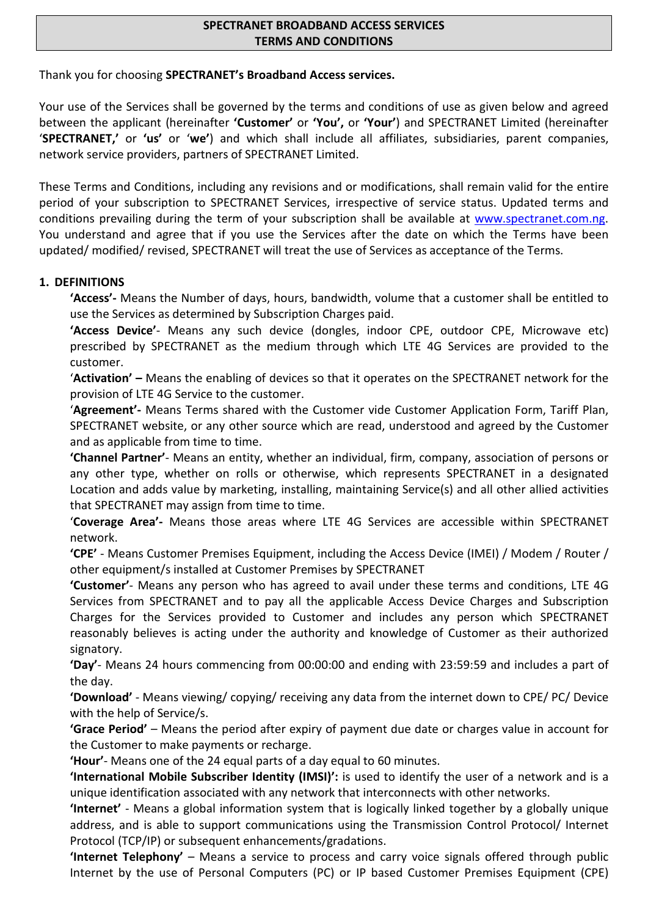## **SPECTRANET BROADBAND ACCESS SERVICES TERMS AND CONDITIONS**

Thank you for choosing **SPECTRANET's Broadband Access services.**

Your use of the Services shall be governed by the terms and conditions of use as given below and agreed between the applicant (hereinafter **'Customer'** or **'You',** or **'Your'**) and SPECTRANET Limited (hereinafter '**SPECTRANET,'** or **'us'** or '**we'**) and which shall include all affiliates, subsidiaries, parent companies, network service providers, partners of SPECTRANET Limited.

These Terms and Conditions, including any revisions and or modifications, shall remain valid for the entire period of your subscription to SPECTRANET Services, irrespective of service status. Updated terms and conditions prevailing during the term of your subscription shall be available at www.spectranet.com.ng. You understand and agree that if you use the Services after the date on which the Terms have been updated/ modified/ revised, SPECTRANET will treat the use of Services as acceptance of the Terms.

## **1. DEFINITIONS**

**'Access'-** Means the Number of days, hours, bandwidth, volume that a customer shall be entitled to use the Services as determined by Subscription Charges paid.

**'Access Device'**- Means any such device (dongles, indoor CPE, outdoor CPE, Microwave etc) prescribed by SPECTRANET as the medium through which LTE 4G Services are provided to the customer.

'**Activation' –** Means the enabling of devices so that it operates on the SPECTRANET network for the provision of LTE 4G Service to the customer.

'**Agreement'-** Means Terms shared with the Customer vide Customer Application Form, Tariff Plan, SPECTRANET website, or any other source which are read, understood and agreed by the Customer and as applicable from time to time.

**'Channel Partner'**- Means an entity, whether an individual, firm, company, association of persons or any other type, whether on rolls or otherwise, which represents SPECTRANET in a designated Location and adds value by marketing, installing, maintaining Service(s) and all other allied activities that SPECTRANET may assign from time to time.

'**Coverage Area'-** Means those areas where LTE 4G Services are accessible within SPECTRANET network.

**'CPE'** - Means Customer Premises Equipment, including the Access Device (IMEI) / Modem / Router / other equipment/s installed at Customer Premises by SPECTRANET

**'Customer'**- Means any person who has agreed to avail under these terms and conditions, LTE 4G Services from SPECTRANET and to pay all the applicable Access Device Charges and Subscription Charges for the Services provided to Customer and includes any person which SPECTRANET reasonably believes is acting under the authority and knowledge of Customer as their authorized signatory.

**'Day'**- Means 24 hours commencing from 00:00:00 and ending with 23:59:59 and includes a part of the day.

**'Download'** - Means viewing/ copying/ receiving any data from the internet down to CPE/ PC/ Device with the help of Service/s.

**'Grace Period'** – Means the period after expiry of payment due date or charges value in account for the Customer to make payments or recharge.

**'Hour'**- Means one of the 24 equal parts of a day equal to 60 minutes.

**'International Mobile Subscriber Identity (IMSI)':** is used to identify the user of a network and is a unique identification associated with any network that interconnects with other networks.

**'Internet'** - Means a global information system that is logically linked together by a globally unique address, and is able to support communications using the Transmission Control Protocol/ Internet Protocol (TCP/IP) or subsequent enhancements/gradations.

**'Internet Telephony'** – Means a service to process and carry voice signals offered through public Internet by the use of Personal Computers (PC) or IP based Customer Premises Equipment (CPE)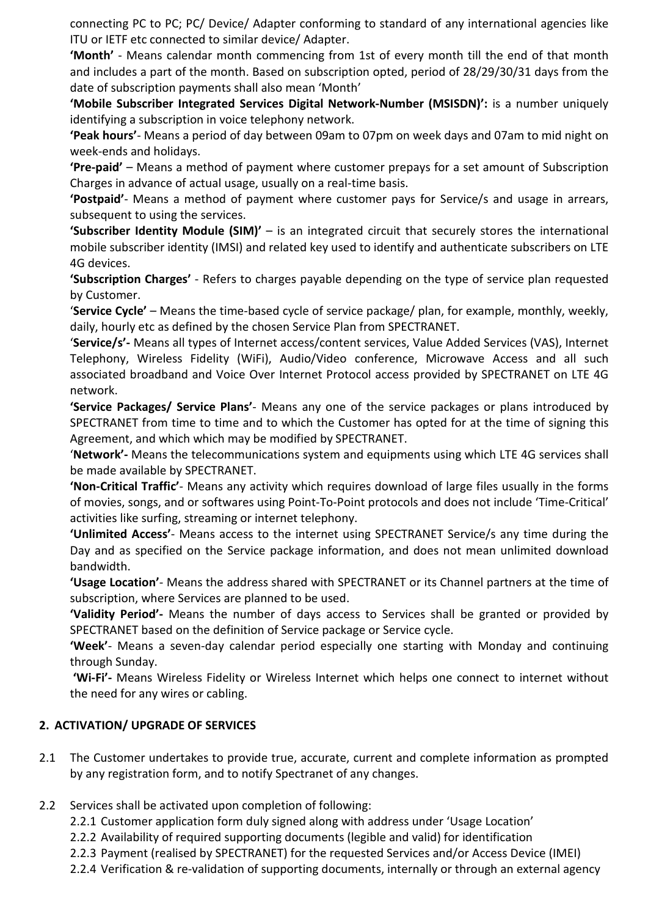connecting PC to PC; PC/ Device/ Adapter conforming to standard of any international agencies like ITU or IETF etc connected to similar device/ Adapter.

**'Month'** - Means calendar month commencing from 1st of every month till the end of that month and includes a part of the month. Based on subscription opted, period of 28/29/30/31 days from the date of subscription payments shall also mean 'Month'

**'Mobile Subscriber Integrated Services Digital Network-Number (MSISDN)':** is a number uniquely identifying a subscription in voice telephony network.

**'Peak hours'**- Means a period of day between 09am to 07pm on week days and 07am to mid night on week-ends and holidays.

**'Pre-paid'** – Means a method of payment where customer prepays for a set amount of Subscription Charges in advance of actual usage, usually on a real-time basis.

**'Postpaid'**- Means a method of payment where customer pays for Service/s and usage in arrears, subsequent to using the services.

**'Subscriber Identity Module (SIM)'** – is an integrated circuit that securely stores the international mobile subscriber identity (IMSI) and related key used to identify and authenticate subscribers on LTE 4G devices.

**'Subscription Charges'** - Refers to charges payable depending on the type of service plan requested by Customer.

'**Service Cycle'** – Means the time-based cycle of service package/ plan, for example, monthly, weekly, daily, hourly etc as defined by the chosen Service Plan from SPECTRANET.

'**Service/s'-** Means all types of Internet access/content services, Value Added Services (VAS), Internet Telephony, Wireless Fidelity (WiFi), Audio/Video conference, Microwave Access and all such associated broadband and Voice Over Internet Protocol access provided by SPECTRANET on LTE 4G network.

**'Service Packages/ Service Plans'**- Means any one of the service packages or plans introduced by SPECTRANET from time to time and to which the Customer has opted for at the time of signing this Agreement, and which which may be modified by SPECTRANET.

'**Network'-** Means the telecommunications system and equipments using which LTE 4G services shall be made available by SPECTRANET.

**'Non-Critical Traffic'**- Means any activity which requires download of large files usually in the forms of movies, songs, and or softwares using Point-To-Point protocols and does not include 'Time-Critical' activities like surfing, streaming or internet telephony.

**'Unlimited Access'**- Means access to the internet using SPECTRANET Service/s any time during the Day and as specified on the Service package information, and does not mean unlimited download bandwidth.

**'Usage Location'**- Means the address shared with SPECTRANET or its Channel partners at the time of subscription, where Services are planned to be used.

**'Validity Period'-** Means the number of days access to Services shall be granted or provided by SPECTRANET based on the definition of Service package or Service cycle.

**'Week'**- Means a seven-day calendar period especially one starting with Monday and continuing through Sunday.

 **'Wi-Fi'-** Means Wireless Fidelity or Wireless Internet which helps one connect to internet without the need for any wires or cabling.

# **2. ACTIVATION/ UPGRADE OF SERVICES**

- 2.1 The Customer undertakes to provide true, accurate, current and complete information as prompted by any registration form, and to notify Spectranet of any changes.
- 2.2 Services shall be activated upon completion of following:
	- 2.2.1 Customer application form duly signed along with address under 'Usage Location'
	- 2.2.2 Availability of required supporting documents (legible and valid) for identification
	- 2.2.3 Payment (realised by SPECTRANET) for the requested Services and/or Access Device (IMEI)
	- 2.2.4 Verification & re-validation of supporting documents, internally or through an external agency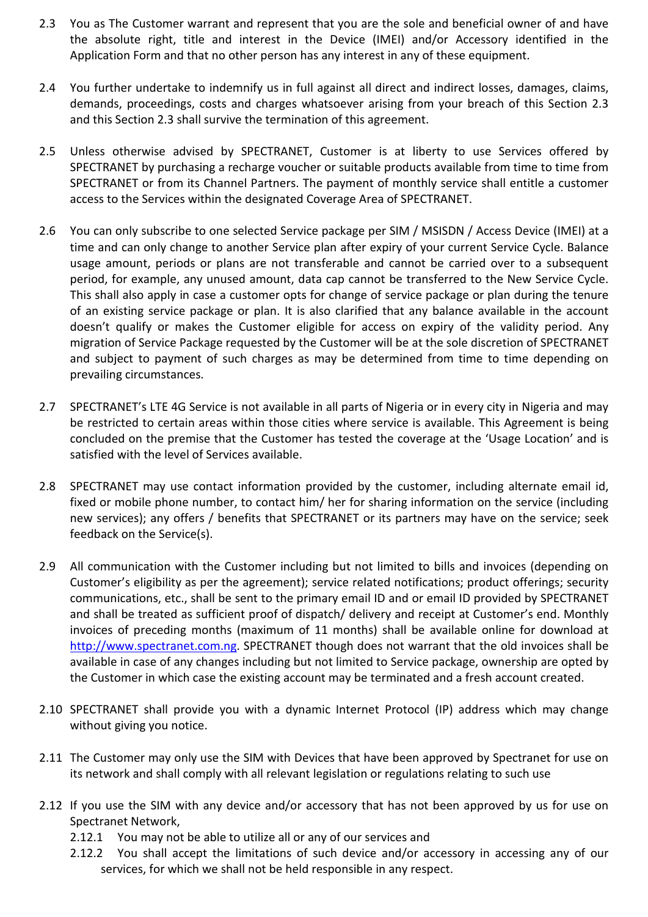- 2.3 You as The Customer warrant and represent that you are the sole and beneficial owner of and have the absolute right, title and interest in the Device (IMEI) and/or Accessory identified in the Application Form and that no other person has any interest in any of these equipment.
- 2.4 You further undertake to indemnify us in full against all direct and indirect losses, damages, claims, demands, proceedings, costs and charges whatsoever arising from your breach of this Section 2.3 and this Section 2.3 shall survive the termination of this agreement.
- 2.5 Unless otherwise advised by SPECTRANET, Customer is at liberty to use Services offered by SPECTRANET by purchasing a recharge voucher or suitable products available from time to time from SPECTRANET or from its Channel Partners. The payment of monthly service shall entitle a customer access to the Services within the designated Coverage Area of SPECTRANET.
- 2.6 You can only subscribe to one selected Service package per SIM / MSISDN / Access Device (IMEI) at a time and can only change to another Service plan after expiry of your current Service Cycle. Balance usage amount, periods or plans are not transferable and cannot be carried over to a subsequent period, for example, any unused amount, data cap cannot be transferred to the New Service Cycle. This shall also apply in case a customer opts for change of service package or plan during the tenure of an existing service package or plan. It is also clarified that any balance available in the account doesn't qualify or makes the Customer eligible for access on expiry of the validity period. Any migration of Service Package requested by the Customer will be at the sole discretion of SPECTRANET and subject to payment of such charges as may be determined from time to time depending on prevailing circumstances.
- 2.7 SPECTRANET's LTE 4G Service is not available in all parts of Nigeria or in every city in Nigeria and may be restricted to certain areas within those cities where service is available. This Agreement is being concluded on the premise that the Customer has tested the coverage at the 'Usage Location' and is satisfied with the level of Services available.
- 2.8 SPECTRANET may use contact information provided by the customer, including alternate email id, fixed or mobile phone number, to contact him/ her for sharing information on the service (including new services); any offers / benefits that SPECTRANET or its partners may have on the service; seek feedback on the Service(s).
- 2.9 All communication with the Customer including but not limited to bills and invoices (depending on Customer's eligibility as per the agreement); service related notifications; product offerings; security communications, etc., shall be sent to the primary email ID and or email ID provided by SPECTRANET and shall be treated as sufficient proof of dispatch/ delivery and receipt at Customer's end. Monthly invoices of preceding months (maximum of 11 months) shall be available online for download at http://www.spectranet.com.ng. SPECTRANET though does not warrant that the old invoices shall be available in case of any changes including but not limited to Service package, ownership are opted by the Customer in which case the existing account may be terminated and a fresh account created.
- 2.10 SPECTRANET shall provide you with a dynamic Internet Protocol (IP) address which may change without giving you notice.
- 2.11 The Customer may only use the SIM with Devices that have been approved by Spectranet for use on its network and shall comply with all relevant legislation or regulations relating to such use
- 2.12 If you use the SIM with any device and/or accessory that has not been approved by us for use on Spectranet Network,
	- 2.12.1 You may not be able to utilize all or any of our services and
	- 2.12.2 You shall accept the limitations of such device and/or accessory in accessing any of our services, for which we shall not be held responsible in any respect.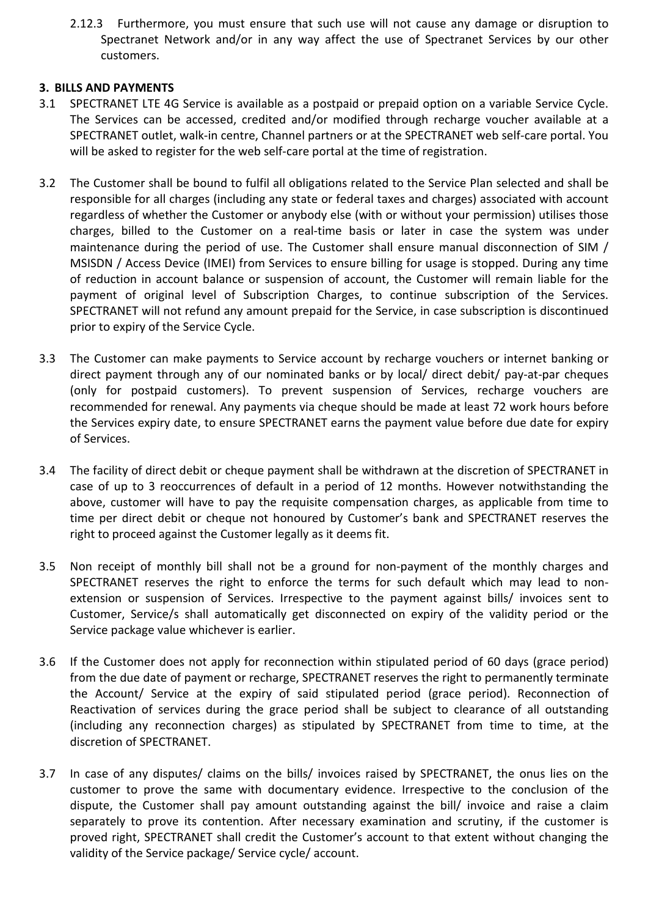2.12.3 Furthermore, you must ensure that such use will not cause any damage or disruption to Spectranet Network and/or in any way affect the use of Spectranet Services by our other customers.

## **3. BILLS AND PAYMENTS**

- 3.1 SPECTRANET LTE 4G Service is available as a postpaid or prepaid option on a variable Service Cycle. The Services can be accessed, credited and/or modified through recharge voucher available at a SPECTRANET outlet, walk-in centre, Channel partners or at the SPECTRANET web self-care portal. You will be asked to register for the web self-care portal at the time of registration.
- 3.2 The Customer shall be bound to fulfil all obligations related to the Service Plan selected and shall be responsible for all charges (including any state or federal taxes and charges) associated with account regardless of whether the Customer or anybody else (with or without your permission) utilises those charges, billed to the Customer on a real-time basis or later in case the system was under maintenance during the period of use. The Customer shall ensure manual disconnection of SIM / MSISDN / Access Device (IMEI) from Services to ensure billing for usage is stopped. During any time of reduction in account balance or suspension of account, the Customer will remain liable for the payment of original level of Subscription Charges, to continue subscription of the Services. SPECTRANET will not refund any amount prepaid for the Service, in case subscription is discontinued prior to expiry of the Service Cycle.
- 3.3 The Customer can make payments to Service account by recharge vouchers or internet banking or direct payment through any of our nominated banks or by local/ direct debit/ pay-at-par cheques (only for postpaid customers). To prevent suspension of Services, recharge vouchers are recommended for renewal. Any payments via cheque should be made at least 72 work hours before the Services expiry date, to ensure SPECTRANET earns the payment value before due date for expiry of Services.
- 3.4 The facility of direct debit or cheque payment shall be withdrawn at the discretion of SPECTRANET in case of up to 3 reoccurrences of default in a period of 12 months. However notwithstanding the above, customer will have to pay the requisite compensation charges, as applicable from time to time per direct debit or cheque not honoured by Customer's bank and SPECTRANET reserves the right to proceed against the Customer legally as it deems fit.
- 3.5 Non receipt of monthly bill shall not be a ground for non-payment of the monthly charges and SPECTRANET reserves the right to enforce the terms for such default which may lead to nonextension or suspension of Services. Irrespective to the payment against bills/ invoices sent to Customer, Service/s shall automatically get disconnected on expiry of the validity period or the Service package value whichever is earlier.
- 3.6 If the Customer does not apply for reconnection within stipulated period of 60 days (grace period) from the due date of payment or recharge, SPECTRANET reserves the right to permanently terminate the Account/ Service at the expiry of said stipulated period (grace period). Reconnection of Reactivation of services during the grace period shall be subject to clearance of all outstanding (including any reconnection charges) as stipulated by SPECTRANET from time to time, at the discretion of SPECTRANET.
- 3.7 In case of any disputes/ claims on the bills/ invoices raised by SPECTRANET, the onus lies on the customer to prove the same with documentary evidence. Irrespective to the conclusion of the dispute, the Customer shall pay amount outstanding against the bill/ invoice and raise a claim separately to prove its contention. After necessary examination and scrutiny, if the customer is proved right, SPECTRANET shall credit the Customer's account to that extent without changing the validity of the Service package/ Service cycle/ account.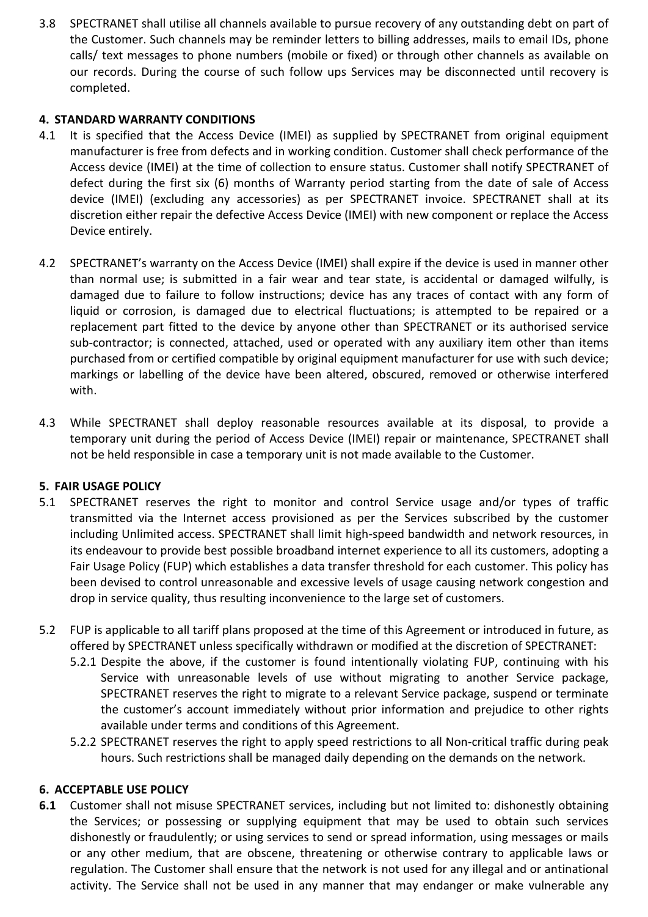3.8 SPECTRANET shall utilise all channels available to pursue recovery of any outstanding debt on part of the Customer. Such channels may be reminder letters to billing addresses, mails to email IDs, phone calls/ text messages to phone numbers (mobile or fixed) or through other channels as available on our records. During the course of such follow ups Services may be disconnected until recovery is completed.

# **4. STANDARD WARRANTY CONDITIONS**

- 4.1 It is specified that the Access Device (IMEI) as supplied by SPECTRANET from original equipment manufacturer is free from defects and in working condition. Customer shall check performance of the Access device (IMEI) at the time of collection to ensure status. Customer shall notify SPECTRANET of defect during the first six (6) months of Warranty period starting from the date of sale of Access device (IMEI) (excluding any accessories) as per SPECTRANET invoice. SPECTRANET shall at its discretion either repair the defective Access Device (IMEI) with new component or replace the Access Device entirely.
- 4.2 SPECTRANET's warranty on the Access Device (IMEI) shall expire if the device is used in manner other than normal use; is submitted in a fair wear and tear state, is accidental or damaged wilfully, is damaged due to failure to follow instructions; device has any traces of contact with any form of liquid or corrosion, is damaged due to electrical fluctuations; is attempted to be repaired or a replacement part fitted to the device by anyone other than SPECTRANET or its authorised service sub-contractor; is connected, attached, used or operated with any auxiliary item other than items purchased from or certified compatible by original equipment manufacturer for use with such device; markings or labelling of the device have been altered, obscured, removed or otherwise interfered with.
- 4.3 While SPECTRANET shall deploy reasonable resources available at its disposal, to provide a temporary unit during the period of Access Device (IMEI) repair or maintenance, SPECTRANET shall not be held responsible in case a temporary unit is not made available to the Customer.

# **5. FAIR USAGE POLICY**

- 5.1 SPECTRANET reserves the right to monitor and control Service usage and/or types of traffic transmitted via the Internet access provisioned as per the Services subscribed by the customer including Unlimited access. SPECTRANET shall limit high-speed bandwidth and network resources, in its endeavour to provide best possible broadband internet experience to all its customers, adopting a Fair Usage Policy (FUP) which establishes a data transfer threshold for each customer. This policy has been devised to control unreasonable and excessive levels of usage causing network congestion and drop in service quality, thus resulting inconvenience to the large set of customers.
- 5.2 FUP is applicable to all tariff plans proposed at the time of this Agreement or introduced in future, as offered by SPECTRANET unless specifically withdrawn or modified at the discretion of SPECTRANET:
	- 5.2.1 Despite the above, if the customer is found intentionally violating FUP, continuing with his Service with unreasonable levels of use without migrating to another Service package, SPECTRANET reserves the right to migrate to a relevant Service package, suspend or terminate the customer's account immediately without prior information and prejudice to other rights available under terms and conditions of this Agreement.
	- 5.2.2 SPECTRANET reserves the right to apply speed restrictions to all Non-critical traffic during peak hours. Such restrictions shall be managed daily depending on the demands on the network.

# **6. ACCEPTABLE USE POLICY**

**6.1** Customer shall not misuse SPECTRANET services, including but not limited to: dishonestly obtaining the Services; or possessing or supplying equipment that may be used to obtain such services dishonestly or fraudulently; or using services to send or spread information, using messages or mails or any other medium, that are obscene, threatening or otherwise contrary to applicable laws or regulation. The Customer shall ensure that the network is not used for any illegal and or antinational activity. The Service shall not be used in any manner that may endanger or make vulnerable any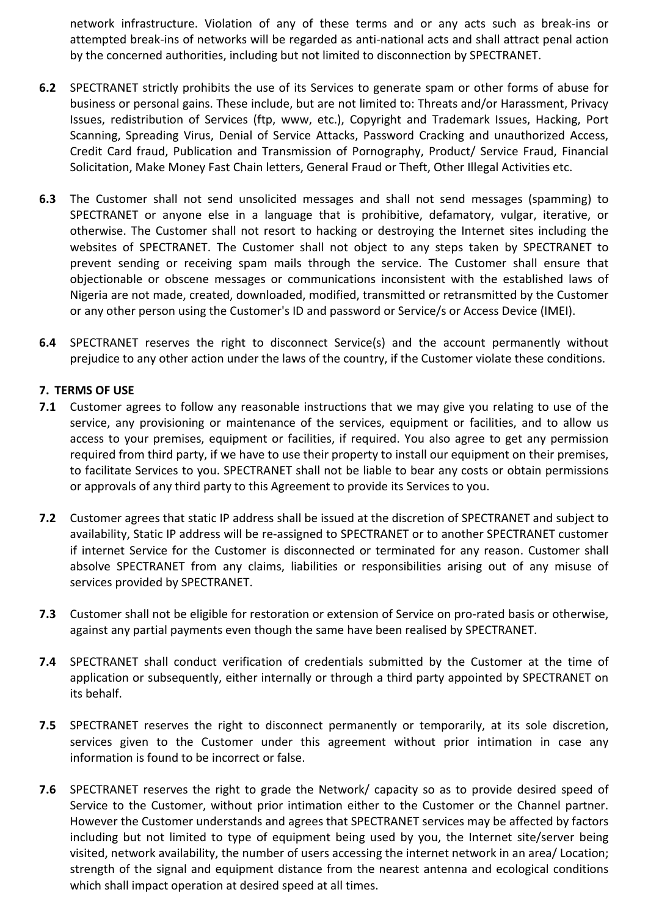network infrastructure. Violation of any of these terms and or any acts such as break-ins or attempted break-ins of networks will be regarded as anti-national acts and shall attract penal action by the concerned authorities, including but not limited to disconnection by SPECTRANET.

- **6.2** SPECTRANET strictly prohibits the use of its Services to generate spam or other forms of abuse for business or personal gains. These include, but are not limited to: Threats and/or Harassment, Privacy Issues, redistribution of Services (ftp, www, etc.), Copyright and Trademark Issues, Hacking, Port Scanning, Spreading Virus, Denial of Service Attacks, Password Cracking and unauthorized Access, Credit Card fraud, Publication and Transmission of Pornography, Product/ Service Fraud, Financial Solicitation, Make Money Fast Chain letters, General Fraud or Theft, Other Illegal Activities etc.
- **6.3** The Customer shall not send unsolicited messages and shall not send messages (spamming) to SPECTRANET or anyone else in a language that is prohibitive, defamatory, vulgar, iterative, or otherwise. The Customer shall not resort to hacking or destroying the Internet sites including the websites of SPECTRANET. The Customer shall not object to any steps taken by SPECTRANET to prevent sending or receiving spam mails through the service. The Customer shall ensure that objectionable or obscene messages or communications inconsistent with the established laws of Nigeria are not made, created, downloaded, modified, transmitted or retransmitted by the Customer or any other person using the Customer's ID and password or Service/s or Access Device (IMEI).
- **6.4** SPECTRANET reserves the right to disconnect Service(s) and the account permanently without prejudice to any other action under the laws of the country, if the Customer violate these conditions.

## **7. TERMS OF USE**

- **7.1** Customer agrees to follow any reasonable instructions that we may give you relating to use of the service, any provisioning or maintenance of the services, equipment or facilities, and to allow us access to your premises, equipment or facilities, if required. You also agree to get any permission required from third party, if we have to use their property to install our equipment on their premises, to facilitate Services to you. SPECTRANET shall not be liable to bear any costs or obtain permissions or approvals of any third party to this Agreement to provide its Services to you.
- **7.2** Customer agrees that static IP address shall be issued at the discretion of SPECTRANET and subject to availability, Static IP address will be re-assigned to SPECTRANET or to another SPECTRANET customer if internet Service for the Customer is disconnected or terminated for any reason. Customer shall absolve SPECTRANET from any claims, liabilities or responsibilities arising out of any misuse of services provided by SPECTRANET.
- **7.3** Customer shall not be eligible for restoration or extension of Service on pro-rated basis or otherwise, against any partial payments even though the same have been realised by SPECTRANET.
- **7.4** SPECTRANET shall conduct verification of credentials submitted by the Customer at the time of application or subsequently, either internally or through a third party appointed by SPECTRANET on its behalf.
- **7.5** SPECTRANET reserves the right to disconnect permanently or temporarily, at its sole discretion, services given to the Customer under this agreement without prior intimation in case any information is found to be incorrect or false.
- **7.6** SPECTRANET reserves the right to grade the Network/ capacity so as to provide desired speed of Service to the Customer, without prior intimation either to the Customer or the Channel partner. However the Customer understands and agrees that SPECTRANET services may be affected by factors including but not limited to type of equipment being used by you, the Internet site/server being visited, network availability, the number of users accessing the internet network in an area/ Location; strength of the signal and equipment distance from the nearest antenna and ecological conditions which shall impact operation at desired speed at all times.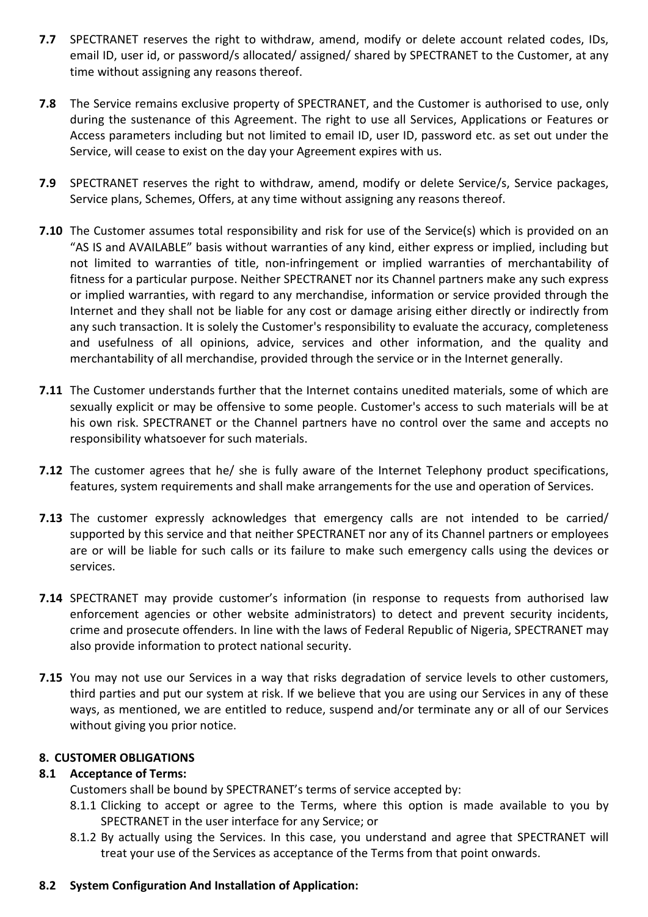- **7.7** SPECTRANET reserves the right to withdraw, amend, modify or delete account related codes, IDs, email ID, user id, or password/s allocated/ assigned/ shared by SPECTRANET to the Customer, at any time without assigning any reasons thereof.
- **7.8** The Service remains exclusive property of SPECTRANET, and the Customer is authorised to use, only during the sustenance of this Agreement. The right to use all Services, Applications or Features or Access parameters including but not limited to email ID, user ID, password etc. as set out under the Service, will cease to exist on the day your Agreement expires with us.
- **7.9** SPECTRANET reserves the right to withdraw, amend, modify or delete Service/s, Service packages, Service plans, Schemes, Offers, at any time without assigning any reasons thereof.
- **7.10** The Customer assumes total responsibility and risk for use of the Service(s) which is provided on an "AS IS and AVAILABLE" basis without warranties of any kind, either express or implied, including but not limited to warranties of title, non-infringement or implied warranties of merchantability of fitness for a particular purpose. Neither SPECTRANET nor its Channel partners make any such express or implied warranties, with regard to any merchandise, information or service provided through the Internet and they shall not be liable for any cost or damage arising either directly or indirectly from any such transaction. It is solely the Customer's responsibility to evaluate the accuracy, completeness and usefulness of all opinions, advice, services and other information, and the quality and merchantability of all merchandise, provided through the service or in the Internet generally.
- **7.11** The Customer understands further that the Internet contains unedited materials, some of which are sexually explicit or may be offensive to some people. Customer's access to such materials will be at his own risk. SPECTRANET or the Channel partners have no control over the same and accepts no responsibility whatsoever for such materials.
- **7.12** The customer agrees that he/ she is fully aware of the Internet Telephony product specifications, features, system requirements and shall make arrangements for the use and operation of Services.
- **7.13** The customer expressly acknowledges that emergency calls are not intended to be carried/ supported by this service and that neither SPECTRANET nor any of its Channel partners or employees are or will be liable for such calls or its failure to make such emergency calls using the devices or services.
- **7.14** SPECTRANET may provide customer's information (in response to requests from authorised law enforcement agencies or other website administrators) to detect and prevent security incidents, crime and prosecute offenders. In line with the laws of Federal Republic of Nigeria, SPECTRANET may also provide information to protect national security.
- **7.15** You may not use our Services in a way that risks degradation of service levels to other customers, third parties and put our system at risk. If we believe that you are using our Services in any of these ways, as mentioned, we are entitled to reduce, suspend and/or terminate any or all of our Services without giving you prior notice.

### **8. CUSTOMER OBLIGATIONS**

### **8.1 Acceptance of Terms:**

Customers shall be bound by SPECTRANET's terms of service accepted by:

- 8.1.1 Clicking to accept or agree to the Terms, where this option is made available to you by SPECTRANET in the user interface for any Service; or
- 8.1.2 By actually using the Services. In this case, you understand and agree that SPECTRANET will treat your use of the Services as acceptance of the Terms from that point onwards.

# **8.2 System Configuration And Installation of Application:**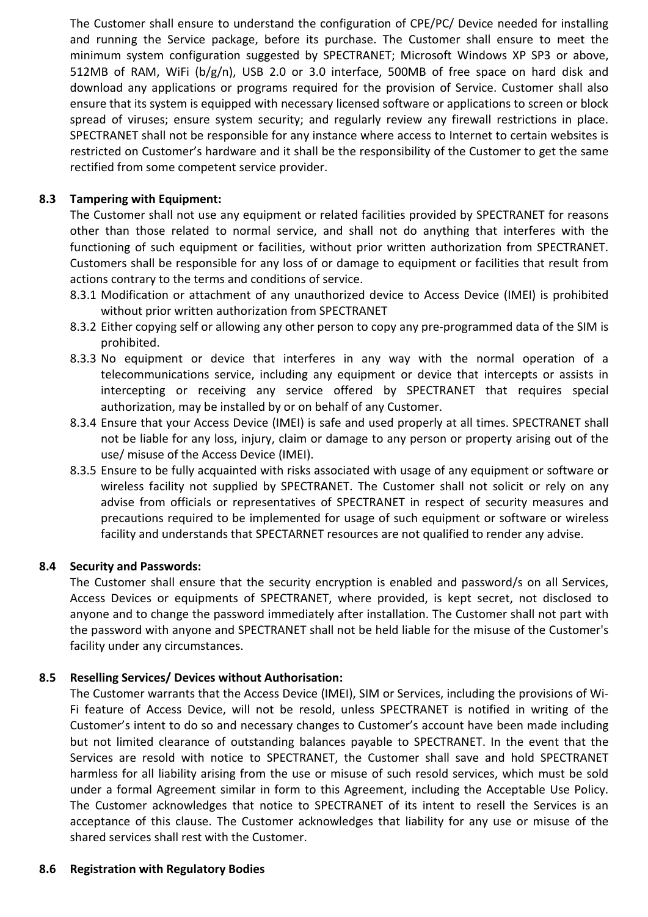The Customer shall ensure to understand the configuration of CPE/PC/ Device needed for installing and running the Service package, before its purchase. The Customer shall ensure to meet the minimum system configuration suggested by SPECTRANET; Microsoft Windows XP SP3 or above, 512MB of RAM, WiFi (b/g/n), USB 2.0 or 3.0 interface, 500MB of free space on hard disk and download any applications or programs required for the provision of Service. Customer shall also ensure that its system is equipped with necessary licensed software or applications to screen or block spread of viruses; ensure system security; and regularly review any firewall restrictions in place. SPECTRANET shall not be responsible for any instance where access to Internet to certain websites is restricted on Customer's hardware and it shall be the responsibility of the Customer to get the same rectified from some competent service provider.

# **8.3 Tampering with Equipment:**

The Customer shall not use any equipment or related facilities provided by SPECTRANET for reasons other than those related to normal service, and shall not do anything that interferes with the functioning of such equipment or facilities, without prior written authorization from SPECTRANET. Customers shall be responsible for any loss of or damage to equipment or facilities that result from actions contrary to the terms and conditions of service.

- 8.3.1 Modification or attachment of any unauthorized device to Access Device (IMEI) is prohibited without prior written authorization from SPECTRANET
- 8.3.2 Either copying self or allowing any other person to copy any pre-programmed data of the SIM is prohibited.
- 8.3.3 No equipment or device that interferes in any way with the normal operation of a telecommunications service, including any equipment or device that intercepts or assists in intercepting or receiving any service offered by SPECTRANET that requires special authorization, may be installed by or on behalf of any Customer.
- 8.3.4 Ensure that your Access Device (IMEI) is safe and used properly at all times. SPECTRANET shall not be liable for any loss, injury, claim or damage to any person or property arising out of the use/ misuse of the Access Device (IMEI).
- 8.3.5 Ensure to be fully acquainted with risks associated with usage of any equipment or software or wireless facility not supplied by SPECTRANET. The Customer shall not solicit or rely on any advise from officials or representatives of SPECTRANET in respect of security measures and precautions required to be implemented for usage of such equipment or software or wireless facility and understands that SPECTARNET resources are not qualified to render any advise.

# **8.4 Security and Passwords:**

The Customer shall ensure that the security encryption is enabled and password/s on all Services, Access Devices or equipments of SPECTRANET, where provided, is kept secret, not disclosed to anyone and to change the password immediately after installation. The Customer shall not part with the password with anyone and SPECTRANET shall not be held liable for the misuse of the Customer's facility under any circumstances.

# **8.5 Reselling Services/ Devices without Authorisation:**

The Customer warrants that the Access Device (IMEI), SIM or Services, including the provisions of Wi-Fi feature of Access Device, will not be resold, unless SPECTRANET is notified in writing of the Customer's intent to do so and necessary changes to Customer's account have been made including but not limited clearance of outstanding balances payable to SPECTRANET. In the event that the Services are resold with notice to SPECTRANET, the Customer shall save and hold SPECTRANET harmless for all liability arising from the use or misuse of such resold services, which must be sold under a formal Agreement similar in form to this Agreement, including the Acceptable Use Policy. The Customer acknowledges that notice to SPECTRANET of its intent to resell the Services is an acceptance of this clause. The Customer acknowledges that liability for any use or misuse of the shared services shall rest with the Customer.

# **8.6 Registration with Regulatory Bodies**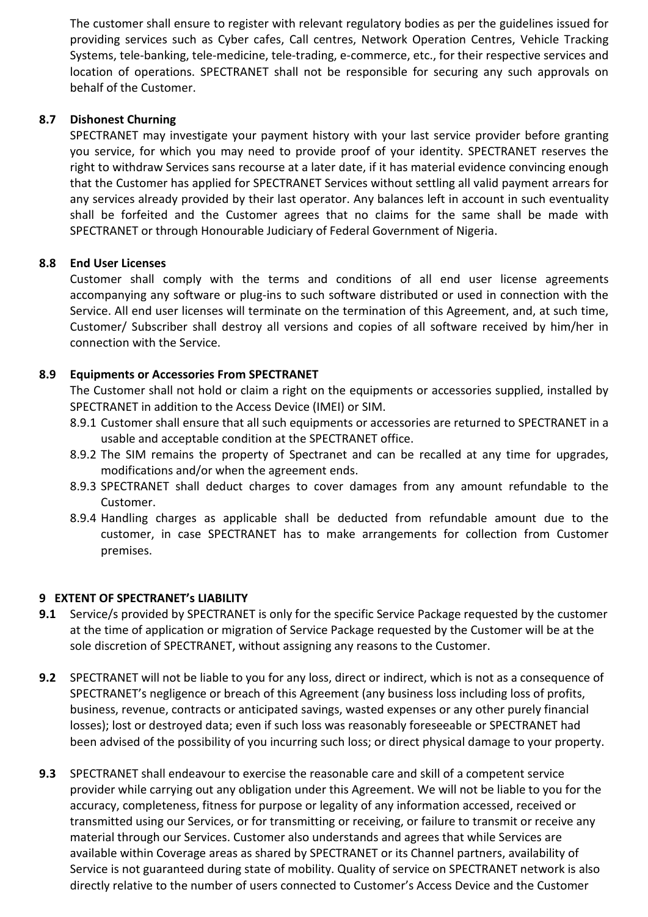The customer shall ensure to register with relevant regulatory bodies as per the guidelines issued for providing services such as Cyber cafes, Call centres, Network Operation Centres, Vehicle Tracking Systems, tele-banking, tele-medicine, tele-trading, e-commerce, etc., for their respective services and location of operations. SPECTRANET shall not be responsible for securing any such approvals on behalf of the Customer.

## **8.7 Dishonest Churning**

SPECTRANET may investigate your payment history with your last service provider before granting you service, for which you may need to provide proof of your identity. SPECTRANET reserves the right to withdraw Services sans recourse at a later date, if it has material evidence convincing enough that the Customer has applied for SPECTRANET Services without settling all valid payment arrears for any services already provided by their last operator. Any balances left in account in such eventuality shall be forfeited and the Customer agrees that no claims for the same shall be made with SPECTRANET or through Honourable Judiciary of Federal Government of Nigeria.

## **8.8 End User Licenses**

Customer shall comply with the terms and conditions of all end user license agreements accompanying any software or plug-ins to such software distributed or used in connection with the Service. All end user licenses will terminate on the termination of this Agreement, and, at such time, Customer/ Subscriber shall destroy all versions and copies of all software received by him/her in connection with the Service.

## **8.9 Equipments or Accessories From SPECTRANET**

The Customer shall not hold or claim a right on the equipments or accessories supplied, installed by SPECTRANET in addition to the Access Device (IMEI) or SIM.

- 8.9.1 Customer shall ensure that all such equipments or accessories are returned to SPECTRANET in a usable and acceptable condition at the SPECTRANET office.
- 8.9.2 The SIM remains the property of Spectranet and can be recalled at any time for upgrades, modifications and/or when the agreement ends.
- 8.9.3 SPECTRANET shall deduct charges to cover damages from any amount refundable to the Customer.
- 8.9.4 Handling charges as applicable shall be deducted from refundable amount due to the customer, in case SPECTRANET has to make arrangements for collection from Customer premises.

### **9 EXTENT OF SPECTRANET's LIABILITY**

- **9.1** Service/s provided by SPECTRANET is only for the specific Service Package requested by the customer at the time of application or migration of Service Package requested by the Customer will be at the sole discretion of SPECTRANET, without assigning any reasons to the Customer.
- **9.2** SPECTRANET will not be liable to you for any loss, direct or indirect, which is not as a consequence of SPECTRANET's negligence or breach of this Agreement (any business loss including loss of profits, business, revenue, contracts or anticipated savings, wasted expenses or any other purely financial losses); lost or destroyed data; even if such loss was reasonably foreseeable or SPECTRANET had been advised of the possibility of you incurring such loss; or direct physical damage to your property.
- **9.3** SPECTRANET shall endeavour to exercise the reasonable care and skill of a competent service provider while carrying out any obligation under this Agreement. We will not be liable to you for the accuracy, completeness, fitness for purpose or legality of any information accessed, received or transmitted using our Services, or for transmitting or receiving, or failure to transmit or receive any material through our Services. Customer also understands and agrees that while Services are available within Coverage areas as shared by SPECTRANET or its Channel partners, availability of Service is not guaranteed during state of mobility. Quality of service on SPECTRANET network is also directly relative to the number of users connected to Customer's Access Device and the Customer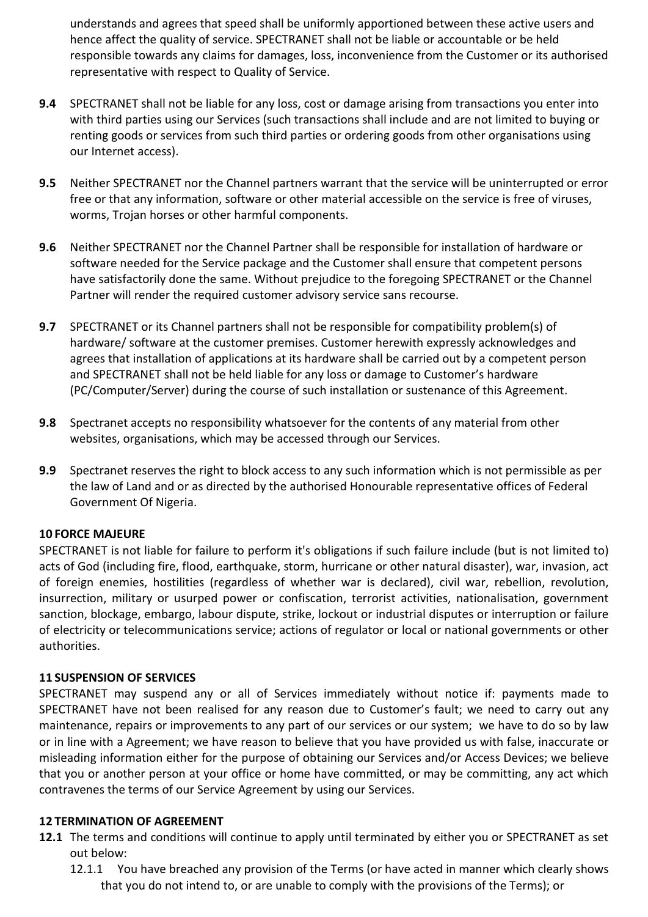understands and agrees that speed shall be uniformly apportioned between these active users and hence affect the quality of service. SPECTRANET shall not be liable or accountable or be held responsible towards any claims for damages, loss, inconvenience from the Customer or its authorised representative with respect to Quality of Service.

- **9.4** SPECTRANET shall not be liable for any loss, cost or damage arising from transactions you enter into with third parties using our Services (such transactions shall include and are not limited to buying or renting goods or services from such third parties or ordering goods from other organisations using our Internet access).
- **9.5** Neither SPECTRANET nor the Channel partners warrant that the service will be uninterrupted or error free or that any information, software or other material accessible on the service is free of viruses, worms, Trojan horses or other harmful components.
- **9.6** Neither SPECTRANET nor the Channel Partner shall be responsible for installation of hardware or software needed for the Service package and the Customer shall ensure that competent persons have satisfactorily done the same. Without prejudice to the foregoing SPECTRANET or the Channel Partner will render the required customer advisory service sans recourse.
- **9.7** SPECTRANET or its Channel partners shall not be responsible for compatibility problem(s) of hardware/ software at the customer premises. Customer herewith expressly acknowledges and agrees that installation of applications at its hardware shall be carried out by a competent person and SPECTRANET shall not be held liable for any loss or damage to Customer's hardware (PC/Computer/Server) during the course of such installation or sustenance of this Agreement.
- **9.8** Spectranet accepts no responsibility whatsoever for the contents of any material from other websites, organisations, which may be accessed through our Services.
- **9.9** Spectranet reserves the right to block access to any such information which is not permissible as per the law of Land and or as directed by the authorised Honourable representative offices of Federal Government Of Nigeria.

# **10 FORCE MAJEURE**

SPECTRANET is not liable for failure to perform it's obligations if such failure include (but is not limited to) acts of God (including fire, flood, earthquake, storm, hurricane or other natural disaster), war, invasion, act of foreign enemies, hostilities (regardless of whether war is declared), civil war, rebellion, revolution, insurrection, military or usurped power or confiscation, terrorist activities, nationalisation, government sanction, blockage, embargo, labour dispute, strike, lockout or industrial disputes or interruption or failure of electricity or telecommunications service; actions of regulator or local or national governments or other authorities.

### **11 SUSPENSION OF SERVICES**

SPECTRANET may suspend any or all of Services immediately without notice if: payments made to SPECTRANET have not been realised for any reason due to Customer's fault; we need to carry out any maintenance, repairs or improvements to any part of our services or our system; we have to do so by law or in line with a Agreement; we have reason to believe that you have provided us with false, inaccurate or misleading information either for the purpose of obtaining our Services and/or Access Devices; we believe that you or another person at your office or home have committed, or may be committing, any act which contravenes the terms of our Service Agreement by using our Services.

### **12 TERMINATION OF AGREEMENT**

- **12.1** The terms and conditions will continue to apply until terminated by either you or SPECTRANET as set out below:
	- 12.1.1 You have breached any provision of the Terms (or have acted in manner which clearly shows that you do not intend to, or are unable to comply with the provisions of the Terms); or